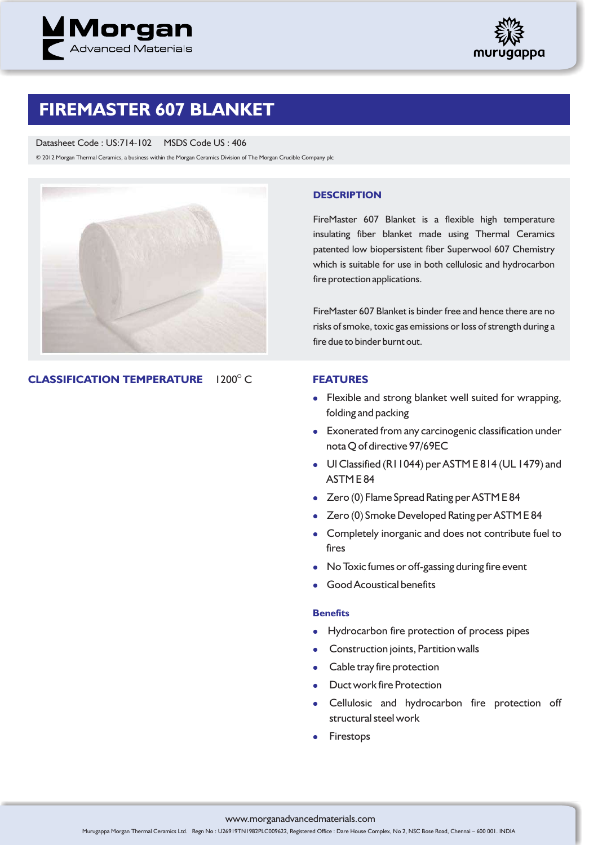



## **FIREMASTER 607 BLANKET**

Datasheet Code : US:714-102 MSDS Code US : 406

© 2012 Morgan Thermal Ceramics, a business within the Morgan Ceramics Division of The Morgan Crucible Company plc



**CLASSIFICATION TEMPERATURE**  $1200^\circ C$ 

### **DESCRIPTION**

FireMaster 607 Blanket is a flexible high temperature insulating fiber blanket made using Thermal Ceramics patented low biopersistent fiber Superwool 607 Chemistry which is suitable for use in both cellulosic and hydrocarbon fire protection applications.

FireMaster 607 Blanket is binder free and hence there are no risks of smoke, toxic gas emissions or loss of strength during a fire due to binder burnt out.

## **FEATURES**

- Flexible and strong blanket well suited for wrapping, folding and packing
- Exonerated from any carcinogenic classification under nota Q of directive 97/69EC
- Ul Classified (R11044) per ASTM E 814 (UL 1479) and ASTM E 84
- Zero (0) Flame Spread Rating per ASTM E 84
- Zero (0) Smoke Developed Rating per ASTM E 84
- Completely inorganic and does not contribute fuel to fires
- No Toxic fumes or off-gassing during fire event
- $\bullet$ Good Acoustical benefits

### **Benefits**

- Hydrocarbon fire protection of process pipes
- Construction joints, Partition walls
- Cable tray fire protection
- Duct work fire Protection
- Cellulosic and hydrocarbon fire protection off structural steel work
- $\bullet$ Firestops

www.morganadvancedmaterials.com

Murugappa Morgan Thermal Ceramics Ltd. Regn No : U26919TN1982PLC009622, Registered Office : Dare House Complex, No 2, NSC Bose Road, Chennai – 600 001. INDIA